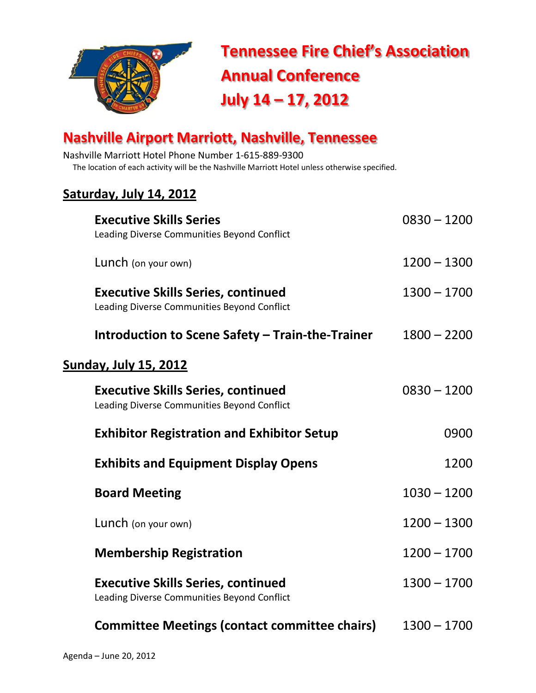

 **Tennessee Fire Chief's Association Annual Conference July 14 – 17, 2012**

## **Nashville Airport Marriott, Nashville, Tennessee**

Nashville Marriott Hotel Phone Number 1-615-889-9300 The location of each activity will be the Nashville Marriott Hotel unless otherwise specified.

#### **Saturday, July 14, 2012**

| <b>Executive Skills Series</b><br>Leading Diverse Communities Beyond Conflict            | $0830 - 1200$ |
|------------------------------------------------------------------------------------------|---------------|
| Lunch (on your own)                                                                      | $1200 - 1300$ |
| <b>Executive Skills Series, continued</b><br>Leading Diverse Communities Beyond Conflict | $1300 - 1700$ |
| Introduction to Scene Safety - Train-the-Trainer                                         | $1800 - 2200$ |
| <u>Sunday, July 15, 2012</u>                                                             |               |
| <b>Executive Skills Series, continued</b><br>Leading Diverse Communities Beyond Conflict | $0830 - 1200$ |
| <b>Exhibitor Registration and Exhibitor Setup</b>                                        | 0900          |
| <b>Exhibits and Equipment Display Opens</b>                                              | 1200          |
| <b>Board Meeting</b>                                                                     | $1030 - 1200$ |
| Lunch (on your own)                                                                      | $1200 - 1300$ |
| <b>Membership Registration</b>                                                           | $1200 - 1700$ |
| <b>Executive Skills Series, continued</b><br>Leading Diverse Communities Beyond Conflict | $1300 - 1700$ |
| <b>Committee Meetings (contact committee chairs)</b>                                     | $1300 - 1700$ |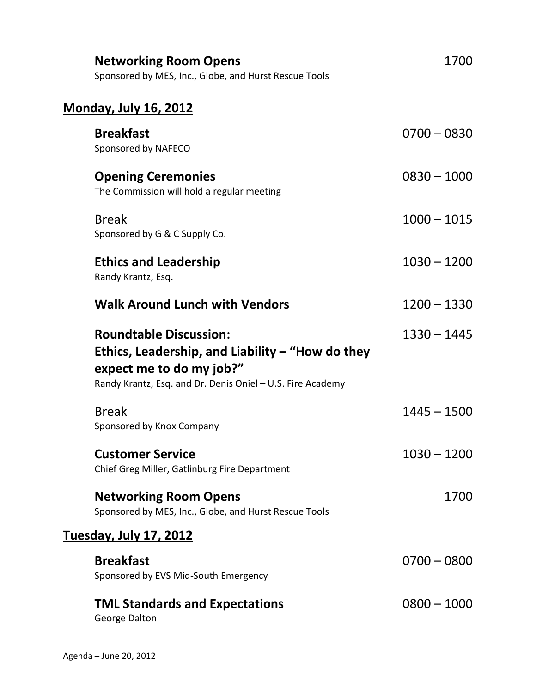| <b>Networking Room Opens</b><br>Sponsored by MES, Inc., Globe, and Hurst Rescue Tools                                                                                         | 1700          |
|-------------------------------------------------------------------------------------------------------------------------------------------------------------------------------|---------------|
| <u>Monday, July 16, 2012</u>                                                                                                                                                  |               |
| <b>Breakfast</b><br>Sponsored by NAFECO                                                                                                                                       | $0700 - 0830$ |
| <b>Opening Ceremonies</b><br>The Commission will hold a regular meeting                                                                                                       | $0830 - 1000$ |
| <b>Break</b><br>Sponsored by G & C Supply Co.                                                                                                                                 | $1000 - 1015$ |
| <b>Ethics and Leadership</b><br>Randy Krantz, Esq.                                                                                                                            | $1030 - 1200$ |
| <b>Walk Around Lunch with Vendors</b>                                                                                                                                         | $1200 - 1330$ |
| <b>Roundtable Discussion:</b><br>Ethics, Leadership, and Liability $-$ "How do they<br>expect me to do my job?"<br>Randy Krantz, Esq. and Dr. Denis Oniel - U.S. Fire Academy | $1330 - 1445$ |
| <b>Break</b><br>Sponsored by Knox Company                                                                                                                                     | $1445 - 1500$ |
| <b>Customer Service</b><br>Chief Greg Miller, Gatlinburg Fire Department                                                                                                      | $1030 - 1200$ |
| <b>Networking Room Opens</b><br>Sponsored by MES, Inc., Globe, and Hurst Rescue Tools                                                                                         | 1700          |
| <u> Tuesday, July 17, 2012</u>                                                                                                                                                |               |
| <b>Breakfast</b><br>Sponsored by EVS Mid-South Emergency                                                                                                                      | $0700 - 0800$ |
| <b>TML Standards and Expectations</b><br>George Dalton                                                                                                                        | $0800 - 1000$ |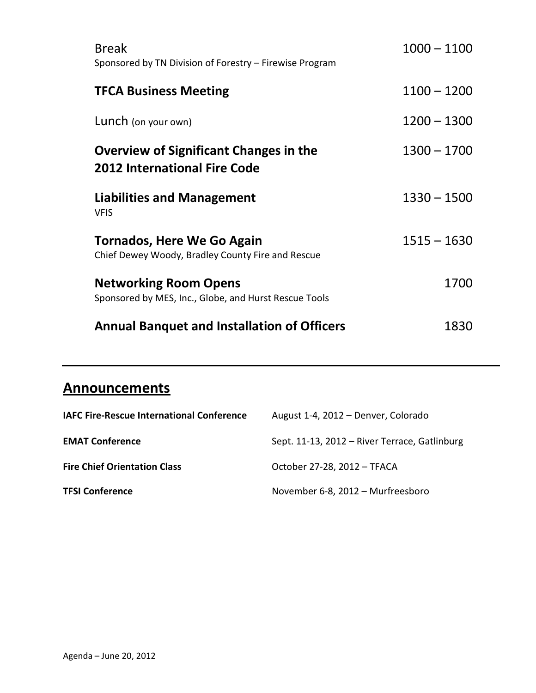| <b>Break</b><br>Sponsored by TN Division of Forestry - Firewise Program               | $1000 - 1100$ |
|---------------------------------------------------------------------------------------|---------------|
| <b>TFCA Business Meeting</b>                                                          | $1100 - 1200$ |
| Lunch (on your own)                                                                   | $1200 - 1300$ |
| Overview of Significant Changes in the<br><b>2012 International Fire Code</b>         | $1300 - 1700$ |
| <b>Liabilities and Management</b><br><b>VFIS</b>                                      | $1330 - 1500$ |
| Tornados, Here We Go Again<br>Chief Dewey Woody, Bradley County Fire and Rescue       | $1515 - 1630$ |
| <b>Networking Room Opens</b><br>Sponsored by MES, Inc., Globe, and Hurst Rescue Tools | 1700          |
| <b>Annual Banquet and Installation of Officers</b>                                    | 1830          |

### **Announcements**

| <b>IAFC Fire-Rescue International Conference</b> | August 1-4, 2012 - Denver, Colorado           |
|--------------------------------------------------|-----------------------------------------------|
| <b>EMAT Conference</b>                           | Sept. 11-13, 2012 - River Terrace, Gatlinburg |
| <b>Fire Chief Orientation Class</b>              | October 27-28, 2012 - TFACA                   |
| <b>TFSI Conference</b>                           | November 6-8, 2012 - Murfreesboro             |